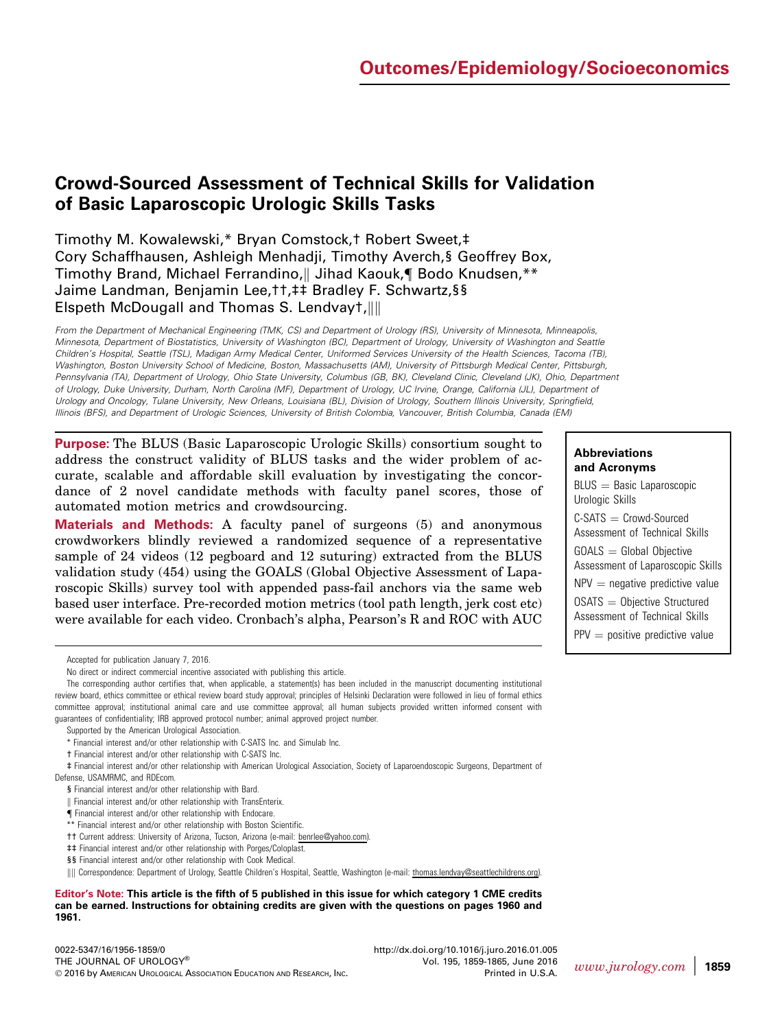# Crowd-Sourced Assessment of Technical Skills for Validation of Basic Laparoscopic Urologic Skills Tasks

Timothy M. Kowalewski,\* Bryan Comstock,† Robert Sweet,‡ Cory Schaffhausen, Ashleigh Menhadji, Timothy Averch,§ Geoffrey Box, Timothy Brand, Michael Ferrandino, Jihad Kaouk, I Bodo Knudsen, \*\* Jaime Landman, Benjamin Lee,††,‡‡ Bradley F. Schwartz,§§ Elspeth McDougall and Thomas S. Lendvayt,

From the Department of Mechanical Engineering (TMK, CS) and Department of Urology (RS), University of Minnesota, Minneapolis, Minnesota, Department of Biostatistics, University of Washington (BC), Department of Urology, University of Washington and Seattle Children's Hospital, Seattle (TSL), Madigan Army Medical Center, Uniformed Services University of the Health Sciences, Tacoma (TB), Washington, Boston University School of Medicine, Boston, Massachusetts (AM), University of Pittsburgh Medical Center, Pittsburgh, Pennsylvania (TA), Department of Urology, Ohio State University, Columbus (GB, BK), Cleveland Clinic, Cleveland (JK), Ohio, Department of Urology, Duke University, Durham, North Carolina (MF), Department of Urology, UC Irvine, Orange, California (JL), Department of Urology and Oncology, Tulane University, New Orleans, Louisiana (BL), Division of Urology, Southern Illinois University, Springfield, Illinois (BFS), and Department of Urologic Sciences, University of British Colombia, Vancouver, British Columbia, Canada (EM)

Purpose: The BLUS (Basic Laparoscopic Urologic Skills) consortium sought to address the construct validity of BLUS tasks and the wider problem of accurate, scalable and affordable skill evaluation by investigating the concordance of 2 novel candidate methods with faculty panel scores, those of automated motion metrics and crowdsourcing.

Materials and Methods: A faculty panel of surgeons (5) and anonymous crowdworkers blindly reviewed a randomized sequence of a representative sample of 24 videos (12 pegboard and 12 suturing) extracted from the BLUS validation study (454) using the GOALS (Global Objective Assessment of Laparoscopic Skills) survey tool with appended pass-fail anchors via the same web based user interface. Pre-recorded motion metrics (tool path length, jerk cost etc) were available for each video. Cronbach's alpha, Pearson's R and ROC with AUC

\*\* Financial interest and/or other relationship with Boston Scientific.

Editor's Note: This article is the fifth of 5 published in this issue for which category 1 CME credits can be earned. Instructions for obtaining credits are given with the questions on pages 1960 and 1961.

0022-5347/16/1956-1859/0 THE JOURNAL OF UROLOGY® 2016 by AMERICAN UROLOGICAL ASSOCIATION EDUCATION AND RESEARCH, INC. <http://dx.doi.org/10.1016/j.juro.2016.01.005> Vol. 195, 1859-1865, June 2016

#### Abbreviations and Acronyms

 $B LUS =$  Basic Laparoscopic Urologic Skills

 $C$ -SATS  $=$  Crowd-Sourced Assessment of Technical Skills  $GOALS = Global Objective$ Assessment of Laparoscopic Skills

 $NPV =$  negative predictive value

 $OSATS = Objective Structure$ 

Assessment of Technical Skills

 $PPV =$  positive predictive value

Accepted for publication January 7, 2016.

No direct or indirect commercial incentive associated with publishing this article.

The corresponding author certifies that, when applicable, a statement(s) has been included in the manuscript documenting institutional review board, ethics committee or ethical review board study approval; principles of Helsinki Declaration were followed in lieu of formal ethics committee approval; institutional animal care and use committee approval; all human subjects provided written informed consent with guarantees of confidentiality; IRB approved protocol number; animal approved project number.

Supported by the American Urological Association.

<sup>\*</sup> Financial interest and/or other relationship with C-SATS Inc. and Simulab Inc.

<sup>†</sup> Financial interest and/or other relationship with C-SATS Inc.

<sup>‡</sup> Financial interest and/or other relationship with American Urological Association, Society of Laparoendoscopic Surgeons, Department of Defense, USAMRMC, and RDEcom.

<sup>§</sup> Financial interest and/or other relationship with Bard.

k Financial interest and/or other relationship with TransEnterix.

<sup>{</sup> Financial interest and/or other relationship with Endocare.

<sup>††</sup> Current address: University of Arizona, Tucson, Arizona (e-mail: [benrlee@yahoo.com](mailto:benrlee@yahoo.com)).

<sup>‡‡</sup> Financial interest and/or other relationship with Porges/Coloplast.

<sup>§§</sup> Financial interest and/or other relationship with Cook Medical.

<sup>||||</sup> Correspondence: Department of Urology, Seattle Children's Hospital, Seattle, Washington (e-mail: [thomas.lendvay@seattlechildrens.org](mailto:thomas.lendvay@seattlechildrens.org)).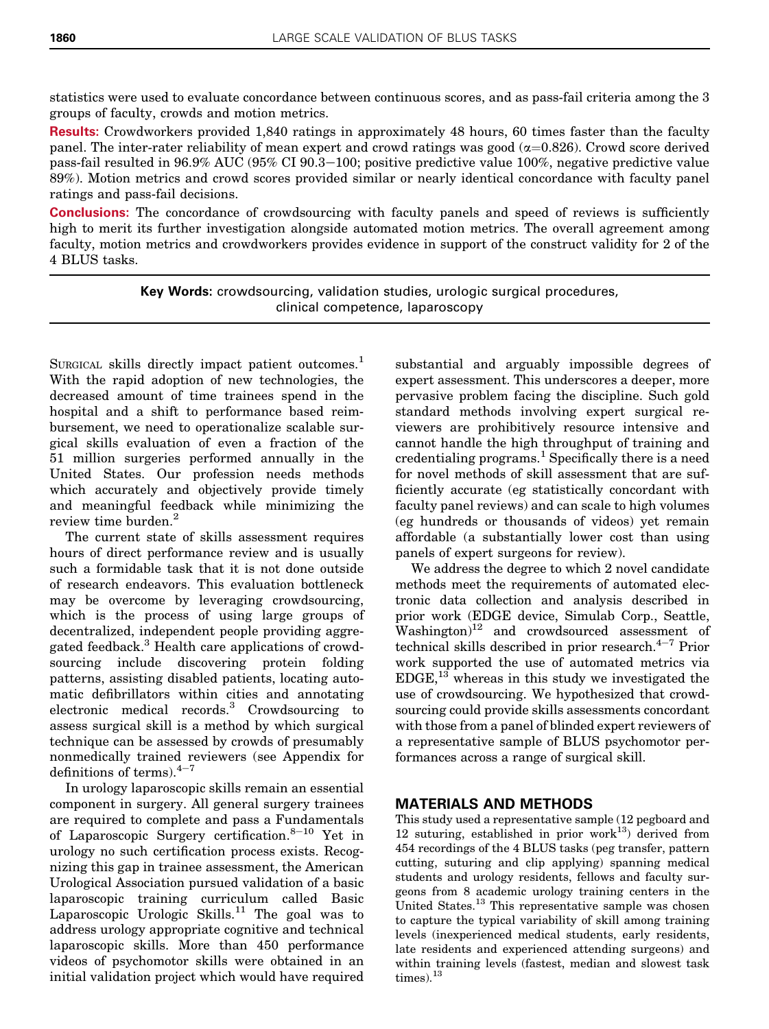statistics were used to evaluate concordance between continuous scores, and as pass-fail criteria among the 3 groups of faculty, crowds and motion metrics.

Results: Crowdworkers provided 1,840 ratings in approximately 48 hours, 60 times faster than the faculty panel. The inter-rater reliability of mean expert and crowd ratings was good  $(\alpha=0.826)$ . Crowd score derived pass-fail resulted in 96.9% AUC (95% CI 90.3–100; positive predictive value 100%, negative predictive value 89%). Motion metrics and crowd scores provided similar or nearly identical concordance with faculty panel ratings and pass-fail decisions.

**Conclusions:** The concordance of crowdsourcing with faculty panels and speed of reviews is sufficiently high to merit its further investigation alongside automated motion metrics. The overall agreement among faculty, motion metrics and crowdworkers provides evidence in support of the construct validity for 2 of the 4 BLUS tasks.

> Key Words: crowdsourcing, validation studies, urologic surgical procedures, clinical competence, laparoscopy

SURGICAL skills directly impact patient outcomes.<sup>[1](#page-6-0)</sup> With the rapid adoption of new technologies, the decreased amount of time trainees spend in the hospital and a shift to performance based reimbursement, we need to operationalize scalable surgical skills evaluation of even a fraction of the 51 million surgeries performed annually in the United States. Our profession needs methods which accurately and objectively provide timely and meaningful feedback while minimizing the review time burden.[2](#page-6-0)

The current state of skills assessment requires hours of direct performance review and is usually such a formidable task that it is not done outside of research endeavors. This evaluation bottleneck may be overcome by leveraging crowdsourcing, which is the process of using large groups of decentralized, independent people providing aggre-gated feedback.<sup>[3](#page-6-0)</sup> Health care applications of crowdsourcing include discovering protein folding patterns, assisting disabled patients, locating automatic defibrillators within cities and annotating electronic medical records.[3](#page-6-0) Crowdsourcing to assess surgical skill is a method by which surgical technique can be assessed by crowds of presumably nonmedically trained reviewers (see [Appendix](#page-5-0) for definitions of terms). $4<sup>-7</sup>$  $4<sup>-7</sup>$  $4<sup>-7</sup>$  $4<sup>-7</sup>$ 

In urology laparoscopic skills remain an essential component in surgery. All general surgery trainees are required to complete and pass a Fundamentals of Laparoscopic Surgery certification. $8-10$  $8-10$  $8-10$  Yet in urology no such certification process exists. Recognizing this gap in trainee assessment, the American Urological Association pursued validation of a basic laparoscopic training curriculum called Basic Laparoscopic Urologic Skills.<sup>[11](#page-6-0)</sup> The goal was to address urology appropriate cognitive and technical laparoscopic skills. More than 450 performance videos of psychomotor skills were obtained in an initial validation project which would have required substantial and arguably impossible degrees of expert assessment. This underscores a deeper, more pervasive problem facing the discipline. Such gold standard methods involving expert surgical reviewers are prohibitively resource intensive and cannot handle the high throughput of training and credentialing programs.<sup>[1](#page-6-0)</sup> Specifically there is a need for novel methods of skill assessment that are sufficiently accurate (eg statistically concordant with faculty panel reviews) and can scale to high volumes (eg hundreds or thousands of videos) yet remain affordable (a substantially lower cost than using panels of expert surgeons for review).

We address the degree to which 2 novel candidate methods meet the requirements of automated electronic data collection and analysis described in prior work (EDGE device, Simulab Corp., Seattle,  $W$ ashington) $12$  and crowdsourced assessment of technical skills described in prior research. $4<sup>-7</sup>$  $4<sup>-7</sup>$  $4<sup>-7</sup>$  Prior work supported the use of automated metrics via  $EDGE<sup>13</sup>$  whereas in this study we investigated the use of crowdsourcing. We hypothesized that crowdsourcing could provide skills assessments concordant with those from a panel of blinded expert reviewers of a representative sample of BLUS psychomotor performances across a range of surgical skill.

# MATERIALS AND METHODS

This study used a representative sample (12 pegboard and 12 suturing, established in prior work<sup>13</sup>) derived from 454 recordings of the 4 BLUS tasks (peg transfer, pattern cutting, suturing and clip applying) spanning medical students and urology residents, fellows and faculty surgeons from 8 academic urology training centers in the United States.<sup>[13](#page-6-0)</sup> This representative sample was chosen to capture the typical variability of skill among training levels (inexperienced medical students, early residents, late residents and experienced attending surgeons) and within training levels (fastest, median and slowest task  $times).<sup>13</sup>$  $times).<sup>13</sup>$  $times).<sup>13</sup>$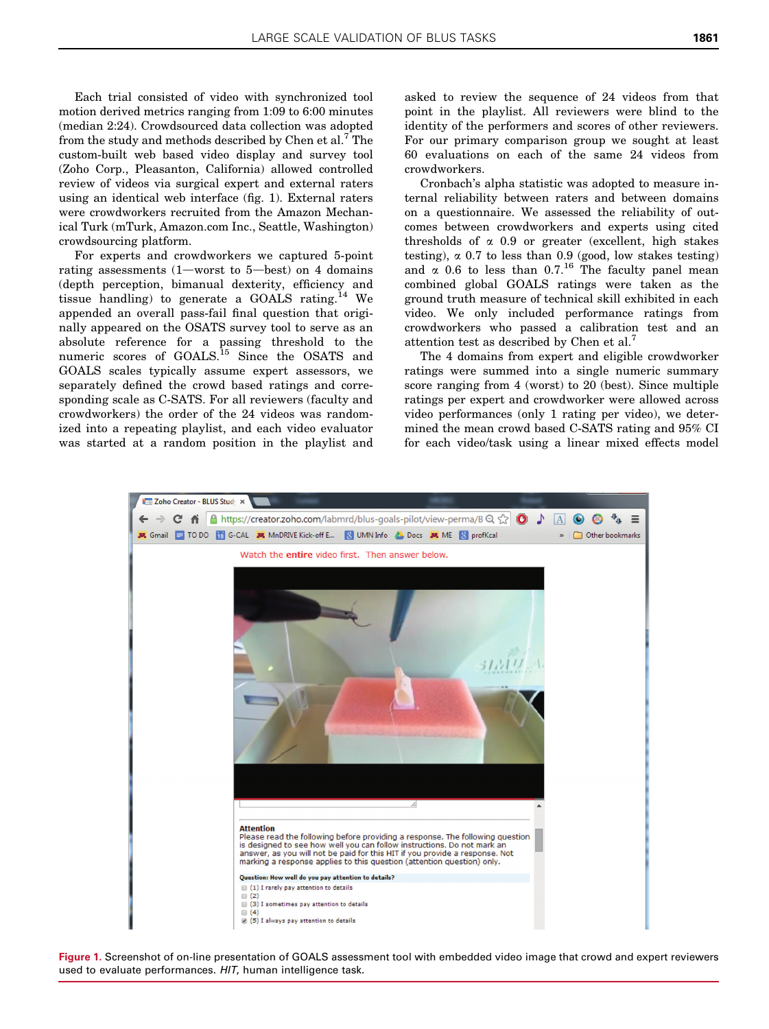Each trial consisted of video with synchronized tool motion derived metrics ranging from 1:09 to 6:00 minutes (median 2:24). Crowdsourced data collection was adopted from the study and methods described by Chen et al.<sup>[7](#page-6-0)</sup> The custom-built web based video display and survey tool (Zoho Corp., Pleasanton, California) allowed controlled review of videos via surgical expert and external raters using an identical web interface (fig. 1). External raters were crowdworkers recruited from the Amazon Mechanical Turk (mTurk, Amazon.com Inc., Seattle, Washington) crowdsourcing platform.

For experts and crowdworkers we captured 5-point rating assessments  $(1$ —worst to  $5$ —best) on 4 domains (depth perception, bimanual dexterity, efficiency and tissue handling) to generate a GOALS rating.<sup>[14](#page-6-0)</sup> We appended an overall pass-fail final question that originally appeared on the OSATS survey tool to serve as an absolute reference for a passing threshold to the numeric scores of GOALS.<sup>[15](#page-6-0)</sup> Since the OSATS and GOALS scales typically assume expert assessors, we separately defined the crowd based ratings and corresponding scale as C-SATS. For all reviewers (faculty and crowdworkers) the order of the 24 videos was randomized into a repeating playlist, and each video evaluator was started at a random position in the playlist and asked to review the sequence of 24 videos from that point in the playlist. All reviewers were blind to the identity of the performers and scores of other reviewers. For our primary comparison group we sought at least 60 evaluations on each of the same 24 videos from crowdworkers.

Cronbach's alpha statistic was adopted to measure internal reliability between raters and between domains on a questionnaire. We assessed the reliability of outcomes between crowdworkers and experts using cited thresholds of  $\alpha$  0.9 or greater (excellent, high stakes testing),  $\alpha$  0.7 to less than 0.9 (good, low stakes testing) and  $\alpha$  0.6 to less than 0.7.<sup>[16](#page-6-0)</sup> The faculty panel mean combined global GOALS ratings were taken as the ground truth measure of technical skill exhibited in each video. We only included performance ratings from crowdworkers who passed a calibration test and an attention test as described by Chen et al.<sup>[7](#page-6-0)</sup>

The 4 domains from expert and eligible crowdworker ratings were summed into a single numeric summary score ranging from 4 (worst) to 20 (best). Since multiple ratings per expert and crowdworker were allowed across video performances (only 1 rating per video), we determined the mean crowd based C-SATS rating and 95% CI for each video/task using a linear mixed effects model



Figure 1. Screenshot of on-line presentation of GOALS assessment tool with embedded video image that crowd and expert reviewers used to evaluate performances. HIT, human intelligence task.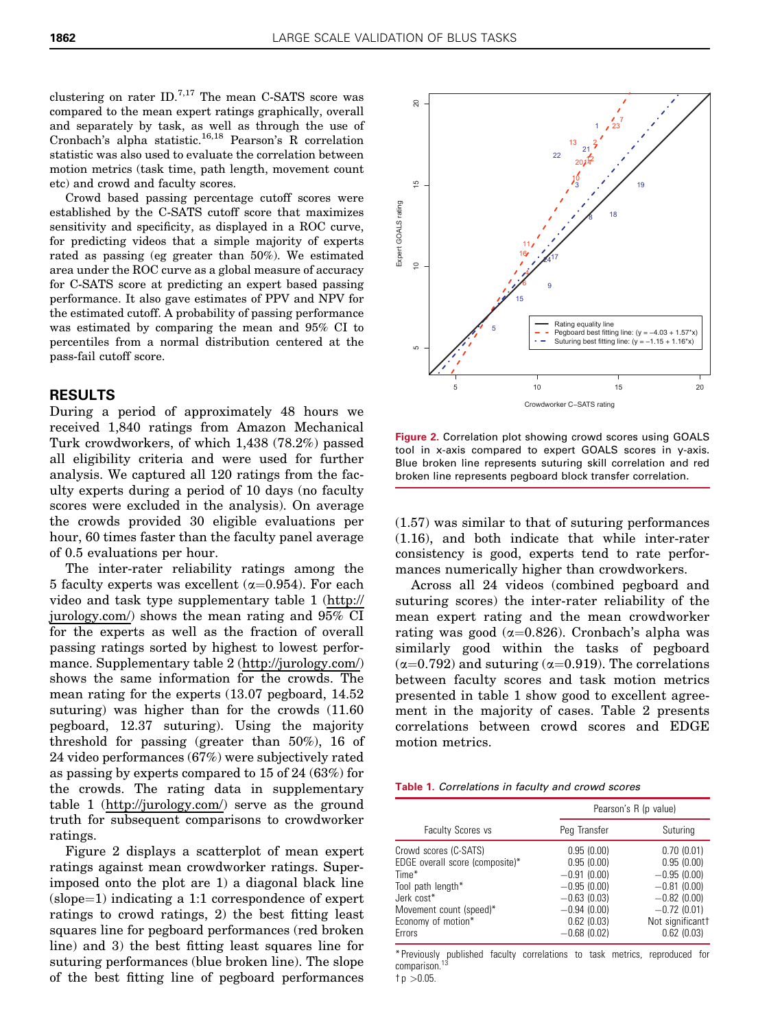<span id="page-3-0"></span>clustering on rater ID.<sup>7,17</sup> The mean C-SATS score was compared to the mean expert ratings graphically, overall and separately by task, as well as through the use of Cronbach's alpha statistic.[16,18](#page-6-0) Pearson's R correlation statistic was also used to evaluate the correlation between motion metrics (task time, path length, movement count etc) and crowd and faculty scores.

Crowd based passing percentage cutoff scores were established by the C-SATS cutoff score that maximizes sensitivity and specificity, as displayed in a ROC curve, for predicting videos that a simple majority of experts rated as passing (eg greater than 50%). We estimated area under the ROC curve as a global measure of accuracy for C-SATS score at predicting an expert based passing performance. It also gave estimates of PPV and NPV for the estimated cutoff. A probability of passing performance was estimated by comparing the mean and 95% CI to percentiles from a normal distribution centered at the pass-fail cutoff score.

## RESULTS

During a period of approximately 48 hours we received 1,840 ratings from Amazon Mechanical Turk crowdworkers, of which 1,438 (78.2%) passed all eligibility criteria and were used for further analysis. We captured all 120 ratings from the faculty experts during a period of 10 days (no faculty scores were excluded in the analysis). On average the crowds provided 30 eligible evaluations per hour, 60 times faster than the faculty panel average of 0.5 evaluations per hour.

The inter-rater reliability ratings among the 5 faculty experts was excellent  $(\alpha=0.954)$ . For each video and task type supplementary table 1 ([http://](http://jurology.com/) [jurology.com/](http://jurology.com/)) shows the mean rating and 95% CI for the experts as well as the fraction of overall passing ratings sorted by highest to lowest performance. Supplementary table 2 [\(http://jurology.com/\)](http://jurology.com/) shows the same information for the crowds. The mean rating for the experts (13.07 pegboard, 14.52 suturing) was higher than for the crowds (11.60 pegboard, 12.37 suturing). Using the majority threshold for passing (greater than 50%), 16 of 24 video performances (67%) were subjectively rated as passing by experts compared to 15 of 24 (63%) for the crowds. The rating data in supplementary table 1 [\(http://jurology.com/\)](http://jurology.com/) serve as the ground truth for subsequent comparisons to crowdworker ratings.

Figure 2 displays a scatterplot of mean expert ratings against mean crowdworker ratings. Superimposed onto the plot are 1) a diagonal black line  $(slope=1)$  indicating a 1:1 correspondence of expert ratings to crowd ratings, 2) the best fitting least squares line for pegboard performances (red broken line) and 3) the best fitting least squares line for suturing performances (blue broken line). The slope of the best fitting line of pegboard performances



Figure 2. Correlation plot showing crowd scores using GOALS tool in x-axis compared to expert GOALS scores in y-axis. Blue broken line represents suturing skill correlation and red broken line represents pegboard block transfer correlation.

(1.57) was similar to that of suturing performances (1.16), and both indicate that while inter-rater consistency is good, experts tend to rate performances numerically higher than crowdworkers.

Across all 24 videos (combined pegboard and suturing scores) the inter-rater reliability of the mean expert rating and the mean crowdworker rating was good  $(\alpha=0.826)$ . Cronbach's alpha was similarly good within the tasks of pegboard  $(\alpha=0.792)$  and suturing ( $\alpha=0.919$ ). The correlations between faculty scores and task motion metrics presented in table 1 show good to excellent agreement in the majority of cases. [Table 2](#page-4-0) presents correlations between crowd scores and EDGE motion metrics.

| Table 1. Correlations in faculty and crowd scores |  |  |  |  |  |  |
|---------------------------------------------------|--|--|--|--|--|--|
|---------------------------------------------------|--|--|--|--|--|--|

|                                                                                                                                                                   | Pearson's R (p value)                                                                                                        |                                                                                                                                            |  |
|-------------------------------------------------------------------------------------------------------------------------------------------------------------------|------------------------------------------------------------------------------------------------------------------------------|--------------------------------------------------------------------------------------------------------------------------------------------|--|
| <b>Faculty Scores vs</b>                                                                                                                                          | Peg Transfer                                                                                                                 | Suturing                                                                                                                                   |  |
| Crowd scores (C-SATS)<br>EDGE overall score (composite)*<br>Time*<br>Tool path length*<br>Jerk $cost*$<br>Movement count (speed)*<br>Economy of motion*<br>Errors | 0.95(0.00)<br>0.95(0.00)<br>$-0.91(0.00)$<br>$-0.95(0.00)$<br>$-0.63(0.03)$<br>$-0.94(0.00)$<br>0.62(0.03)<br>$-0.68$ (0.02) | 0.70(0.01)<br>0.95(0.00)<br>$-0.95(0.00)$<br>$-0.81(0.00)$<br>$-0.82(0.00)$<br>$-0.72(0.01)$<br>Not significant <sup>+</sup><br>0.62(0.03) |  |

\* Previously published faculty correlations to task metrics, reproduced for comparison.  $tp > 0.05$ .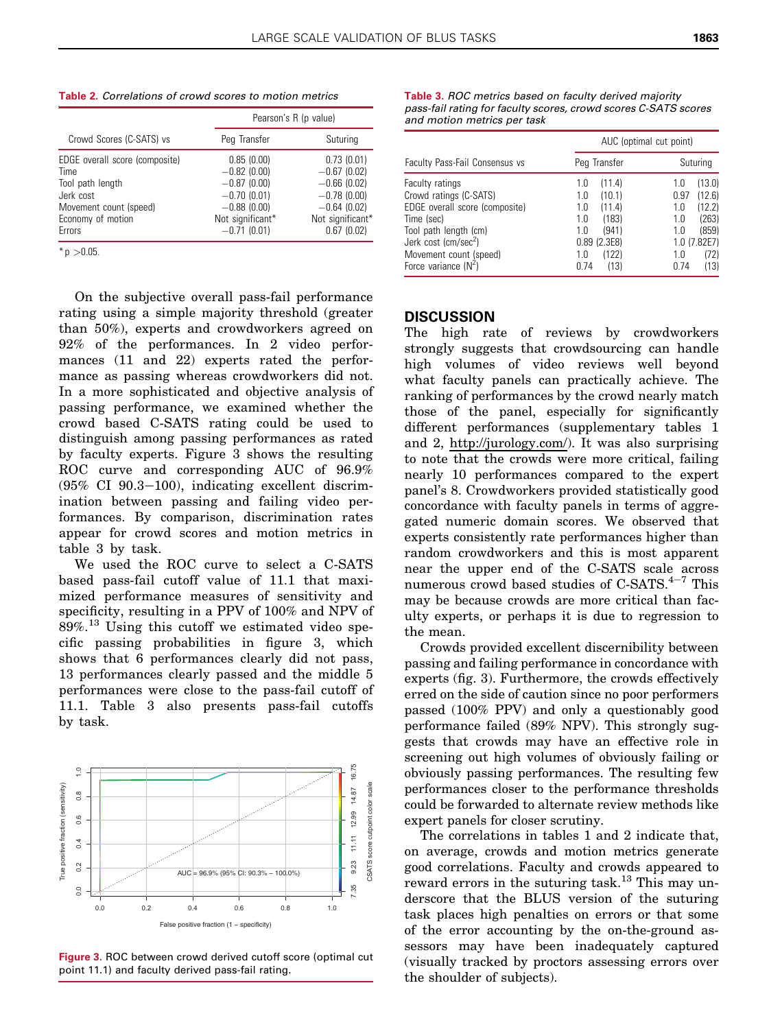<span id="page-4-0"></span>Table 2. Correlations of crowd scores to motion metrics

|                                                    | Pearson's R (p value)                                            |  |  |
|----------------------------------------------------|------------------------------------------------------------------|--|--|
| Peg Transfer                                       | Suturing                                                         |  |  |
| 0.85(0.00)<br>$-0.82$ (0.00)<br>$-0.87(0.00)$      | 0.73(0.01)<br>$-0.67(0.02)$<br>$-0.66(0.02)$                     |  |  |
| $-0.88(0.00)$<br>Not significant*<br>$-0.71(0.01)$ | $-0.78(0.00)$<br>$-0.64(0.02)$<br>Not significant*<br>0.67(0.02) |  |  |
|                                                    | $-0.70(0.01)$                                                    |  |  |

 $*$  p  $>0.05$ .

On the subjective overall pass-fail performance rating using a simple majority threshold (greater than 50%), experts and crowdworkers agreed on 92% of the performances. In 2 video performances (11 and 22) experts rated the performance as passing whereas crowdworkers did not. In a more sophisticated and objective analysis of passing performance, we examined whether the crowd based C-SATS rating could be used to distinguish among passing performances as rated by faculty experts. Figure 3 shows the resulting ROC curve and corresponding AUC of 96.9%  $(95\% \text{ CI } 90.3-100)$ , indicating excellent discrimination between passing and failing video performances. By comparison, discrimination rates appear for crowd scores and motion metrics in table 3 by task.

We used the ROC curve to select a C-SATS based pass-fail cutoff value of 11.1 that maximized performance measures of sensitivity and specificity, resulting in a PPV of 100% and NPV of  $89\%$ <sup>[13](#page-6-0)</sup> Using this cutoff we estimated video specific passing probabilities in figure 3, which shows that 6 performances clearly did not pass, 13 performances clearly passed and the middle 5 performances were close to the pass-fail cutoff of 11.1. Table 3 also presents pass-fail cutoffs by task.



Figure 3. ROC between crowd derived cutoff score (optimal cut point 11.1) and faculty derived pass-fail rating.

| <b>Table 3. ROC</b> metrics based on faculty derived majority   |
|-----------------------------------------------------------------|
| pass-fail rating for faculty scores, crowd scores C-SATS scores |
| and motion metrics per task                                     |

|                                  | AUC (optimal cut point) |                |  |  |
|----------------------------------|-------------------------|----------------|--|--|
| Faculty Pass-Fail Consensus vs   | Peg Transfer            | Suturing       |  |  |
| Faculty ratings                  | (11.4)<br>1.0           | (13.0)<br>1.0  |  |  |
| Crowd ratings (C-SATS)           | (10.1)<br>1.0           | (12.6)<br>0.97 |  |  |
| EDGE overall score (composite)   | (11.4)<br>1.0           | (12.2)<br>1.0  |  |  |
| Time (sec)                       | (183)<br>1.0            | (263)<br>1.0   |  |  |
| Tool path length (cm)            | (941)<br>1.0            | (859)<br>1.0   |  |  |
| Jerk cost (cm/sec <sup>2</sup> ) | 0.89(2.3E8)             | 1.0 (7.82E7)   |  |  |
| Movement count (speed)           | (122)<br>1.0            | (72)<br>1.0    |  |  |
| Force variance $(N^2)$           | (13)<br>በ 74            | (13)<br>0.74   |  |  |

# **DISCUSSION**

The high rate of reviews by crowdworkers strongly suggests that crowdsourcing can handle high volumes of video reviews well beyond what faculty panels can practically achieve. The ranking of performances by the crowd nearly match those of the panel, especially for significantly different performances (supplementary tables 1 and 2, [http://jurology.com/\)](http://jurology.com/). It was also surprising to note that the crowds were more critical, failing nearly 10 performances compared to the expert panel's 8. Crowdworkers provided statistically good concordance with faculty panels in terms of aggregated numeric domain scores. We observed that experts consistently rate performances higher than random crowdworkers and this is most apparent near the upper end of the C-SATS scale across numerous crowd based studies of C-SATS. $4-7$  $4-7$  $4-7$  This may be because crowds are more critical than faculty experts, or perhaps it is due to regression to the mean.

Crowds provided excellent discernibility between passing and failing performance in concordance with experts (fig. 3). Furthermore, the crowds effectively erred on the side of caution since no poor performers passed (100% PPV) and only a questionably good performance failed (89% NPV). This strongly suggests that crowds may have an effective role in screening out high volumes of obviously failing or obviously passing performances. The resulting few performances closer to the performance thresholds could be forwarded to alternate review methods like expert panels for closer scrutiny.

The correlations in [tables 1 and 2](#page-3-0) indicate that, on average, crowds and motion metrics generate good correlations. Faculty and crowds appeared to reward errors in the suturing task.<sup>[13](#page-6-0)</sup> This may underscore that the BLUS version of the suturing task places high penalties on errors or that some of the error accounting by the on-the-ground assessors may have been inadequately captured (visually tracked by proctors assessing errors over the shoulder of subjects).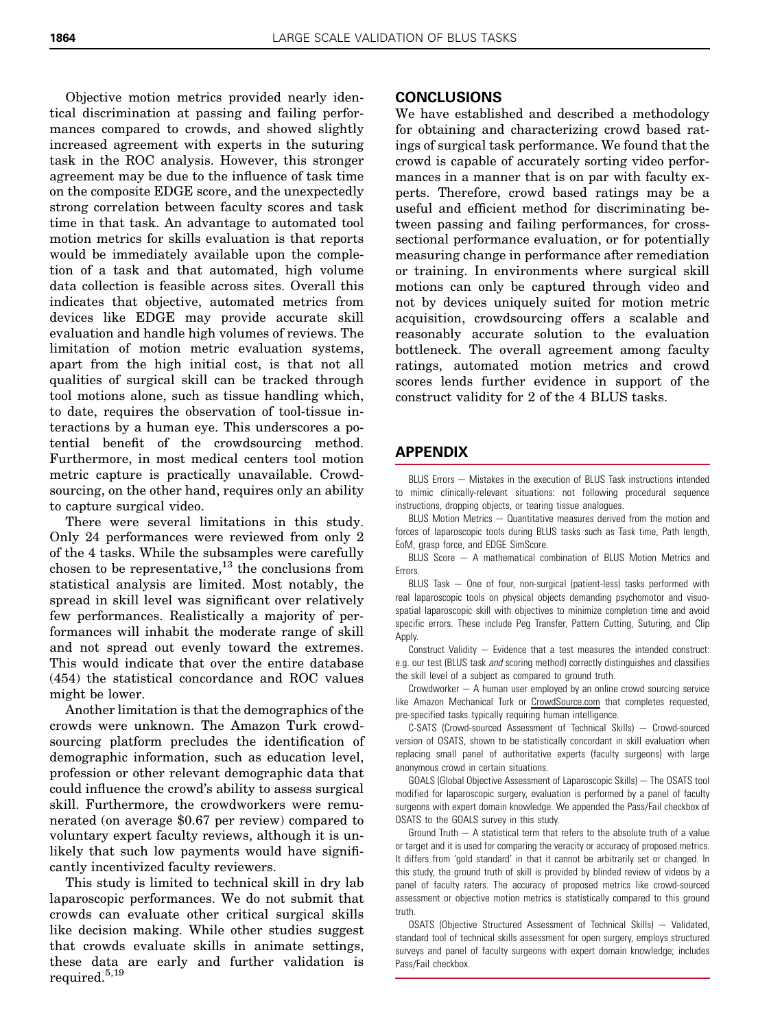<span id="page-5-0"></span>Objective motion metrics provided nearly identical discrimination at passing and failing performances compared to crowds, and showed slightly increased agreement with experts in the suturing task in the ROC analysis. However, this stronger agreement may be due to the influence of task time on the composite EDGE score, and the unexpectedly strong correlation between faculty scores and task time in that task. An advantage to automated tool motion metrics for skills evaluation is that reports would be immediately available upon the completion of a task and that automated, high volume data collection is feasible across sites. Overall this indicates that objective, automated metrics from devices like EDGE may provide accurate skill evaluation and handle high volumes of reviews. The limitation of motion metric evaluation systems, apart from the high initial cost, is that not all qualities of surgical skill can be tracked through tool motions alone, such as tissue handling which, to date, requires the observation of tool-tissue interactions by a human eye. This underscores a potential benefit of the crowdsourcing method. Furthermore, in most medical centers tool motion metric capture is practically unavailable. Crowdsourcing, on the other hand, requires only an ability to capture surgical video.

There were several limitations in this study. Only 24 performances were reviewed from only 2 of the 4 tasks. While the subsamples were carefully chosen to be representative,<sup>[13](#page-6-0)</sup> the conclusions from statistical analysis are limited. Most notably, the spread in skill level was significant over relatively few performances. Realistically a majority of performances will inhabit the moderate range of skill and not spread out evenly toward the extremes. This would indicate that over the entire database (454) the statistical concordance and ROC values might be lower.

Another limitation is that the demographics of the crowds were unknown. The Amazon Turk crowdsourcing platform precludes the identification of demographic information, such as education level, profession or other relevant demographic data that could influence the crowd's ability to assess surgical skill. Furthermore, the crowdworkers were remunerated (on average \$0.67 per review) compared to voluntary expert faculty reviews, although it is unlikely that such low payments would have significantly incentivized faculty reviewers.

This study is limited to technical skill in dry lab laparoscopic performances. We do not submit that crowds can evaluate other critical surgical skills like decision making. While other studies suggest that crowds evaluate skills in animate settings, these data are early and further validation is required.[5,19](#page-6-0)

#### **CONCLUSIONS**

We have established and described a methodology for obtaining and characterizing crowd based ratings of surgical task performance. We found that the crowd is capable of accurately sorting video performances in a manner that is on par with faculty experts. Therefore, crowd based ratings may be a useful and efficient method for discriminating between passing and failing performances, for crosssectional performance evaluation, or for potentially measuring change in performance after remediation or training. In environments where surgical skill motions can only be captured through video and not by devices uniquely suited for motion metric acquisition, crowdsourcing offers a scalable and reasonably accurate solution to the evaluation bottleneck. The overall agreement among faculty ratings, automated motion metrics and crowd scores lends further evidence in support of the construct validity for 2 of the 4 BLUS tasks.

### APPENDIX

BLUS Errors - Mistakes in the execution of BLUS Task instructions intended to mimic clinically-relevant situations: not following procedural sequence instructions, dropping objects, or tearing tissue analogues.

BLUS Motion Metrics  $-$  Quantitative measures derived from the motion and forces of laparoscopic tools during BLUS tasks such as Task time, Path length, EoM, grasp force, and EDGE SimScore.

BLUS Score  $-$  A mathematical combination of BLUS Motion Metrics and Errors.

BLUS Task  $-$  One of four, non-surgical (patient-less) tasks performed with real laparoscopic tools on physical objects demanding psychomotor and visuospatial laparoscopic skill with objectives to minimize completion time and avoid specific errors. These include Peg Transfer, Pattern Cutting, Suturing, and Clip Apply.

Construct Validity  $-$  Evidence that a test measures the intended construct: e.g. our test (BLUS task *and* scoring method) correctly distinguishes and classifies the skill level of a subject as compared to ground truth.

Crowdworker  $-$  A human user employed by an online crowd sourcing service like Amazon Mechanical Turk or [CrowdSource.com](http://CrowdSource.com) that completes requested, pre-specified tasks typically requiring human intelligence.

C-SATS (Crowd-sourced Assessment of Technical Skills) - Crowd-sourced version of OSATS, shown to be statistically concordant in skill evaluation when replacing small panel of authoritative experts (faculty surgeons) with large anonymous crowd in certain situations.

GOALS (Global Objective Assessment of Laparoscopic Skills) – The OSATS tool modified for laparoscopic surgery, evaluation is performed by a panel of faculty surgeons with expert domain knowledge. We appended the Pass/Fail checkbox of OSATS to the GOALS survey in this study.

Ground Truth  $-$  A statistical term that refers to the absolute truth of a value or target and it is used for comparing the veracity or accuracy of proposed metrics. It differs from 'gold standard' in that it cannot be arbitrarily set or changed. In this study, the ground truth of skill is provided by blinded review of videos by a panel of faculty raters. The accuracy of proposed metrics like crowd-sourced assessment or objective motion metrics is statistically compared to this ground truth.

OSATS (Objective Structured Assessment of Technical Skills)  $-$  Validated, standard tool of technical skills assessment for open surgery, employs structured surveys and panel of faculty surgeons with expert domain knowledge; includes Pass/Fail checkbox.